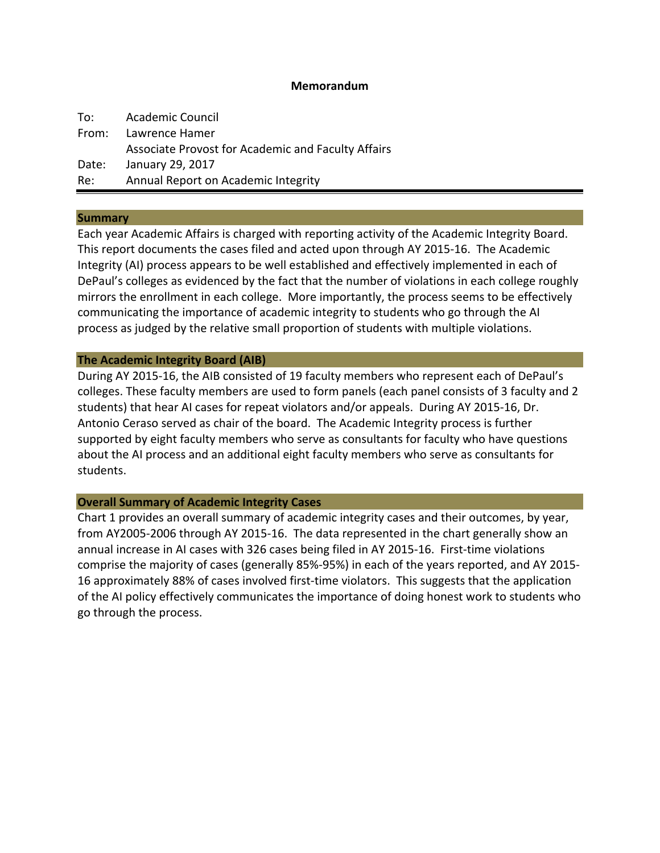### **Memorandum**

| To:   | <b>Academic Council</b>                            |
|-------|----------------------------------------------------|
|       | From: Lawrence Hamer                               |
|       | Associate Provost for Academic and Faculty Affairs |
| Date: | January 29, 2017                                   |
| Re:   | Annual Report on Academic Integrity                |

#### **Summary**

Each year Academic Affairs is charged with reporting activity of the Academic Integrity Board. This report documents the cases filed and acted upon through AY 2015-16. The Academic Integrity (AI) process appears to be well established and effectively implemented in each of DePaul's colleges as evidenced by the fact that the number of violations in each college roughly mirrors the enrollment in each college. More importantly, the process seems to be effectively communicating the importance of academic integrity to students who go through the AI process as judged by the relative small proportion of students with multiple violations.

#### **The Academic Integrity Board (AIB)**

During AY 2015-16, the AIB consisted of 19 faculty members who represent each of DePaul's colleges. These faculty members are used to form panels (each panel consists of 3 faculty and 2 students) that hear AI cases for repeat violators and/or appeals. During AY 2015-16, Dr. Antonio Ceraso served as chair of the board. The Academic Integrity process is further supported by eight faculty members who serve as consultants for faculty who have questions about the AI process and an additional eight faculty members who serve as consultants for students.

### **Overall Summary of Academic Integrity Cases**

Chart 1 provides an overall summary of academic integrity cases and their outcomes, by year, from AY2005-2006 through AY 2015-16. The data represented in the chart generally show an annual increase in AI cases with 326 cases being filed in AY 2015-16. First-time violations comprise the majority of cases (generally 85%-95%) in each of the years reported, and AY 2015-16 approximately 88% of cases involved first-time violators. This suggests that the application of the AI policy effectively communicates the importance of doing honest work to students who go through the process.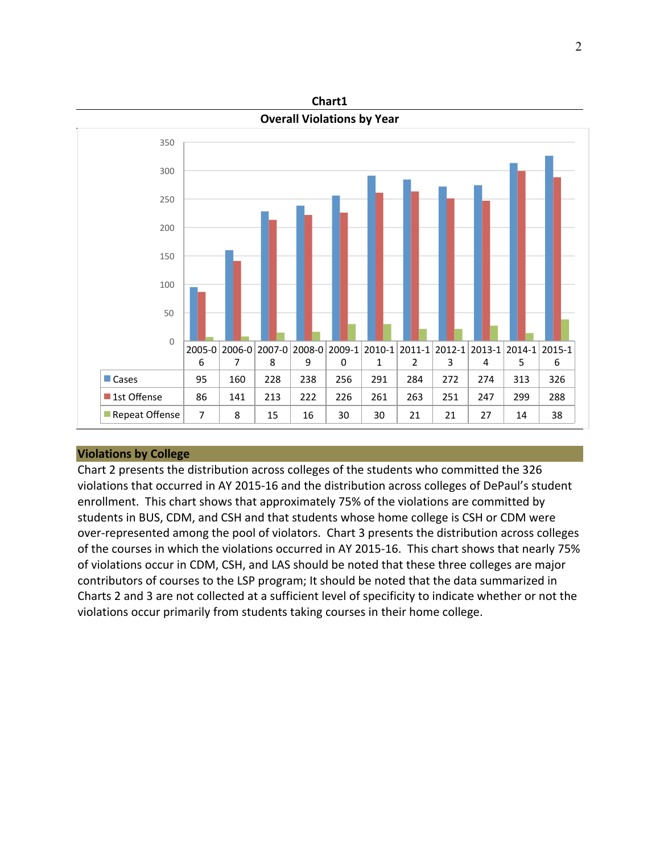

## **Violations by College**

Chart 2 presents the distribution across colleges of the students who committed the 326 violations that occurred in AY 2015-16 and the distribution across colleges of DePaul's student enrollment. This chart shows that approximately 75% of the violations are committed by students in BUS, CDM, and CSH and that students whose home college is CSH or CDM were over-represented among the pool of violators. Chart 3 presents the distribution across colleges of the courses in which the violations occurred in AY 2015-16. This chart shows that nearly 75% of violations occur in CDM, CSH, and LAS should be noted that these three colleges are major contributors of courses to the LSP program; It should be noted that the data summarized in Charts 2 and 3 are not collected at a sufficient level of specificity to indicate whether or not the violations occur primarily from students taking courses in their home college.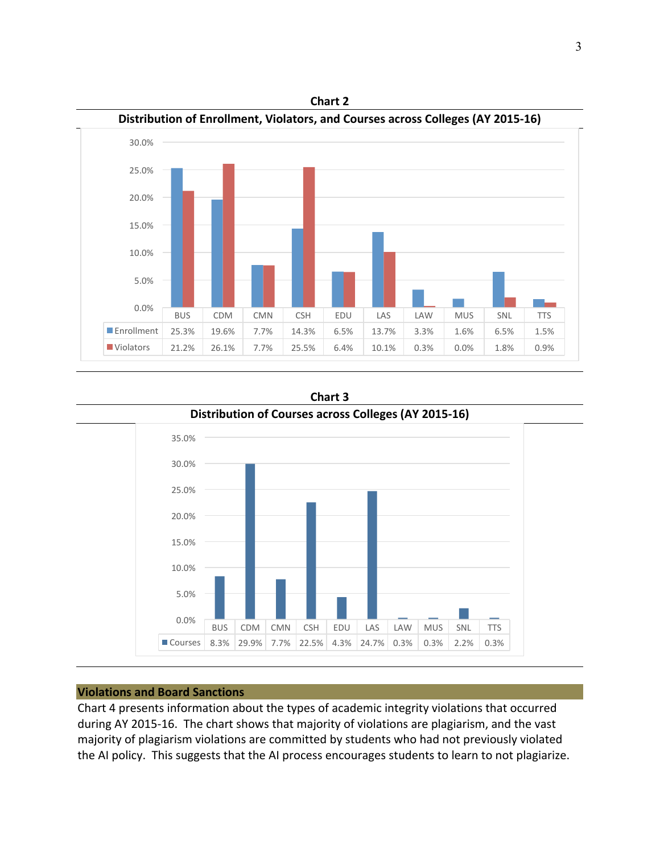



**Chart 3**

# **Violations and Board Sanctions**

Chart 4 presents information about the types of academic integrity violations that occurred during AY 2015-16. The chart shows that majority of violations are plagiarism, and the vast majority of plagiarism violations are committed by students who had not previously violated the AI policy. This suggests that the AI process encourages students to learn to not plagiarize.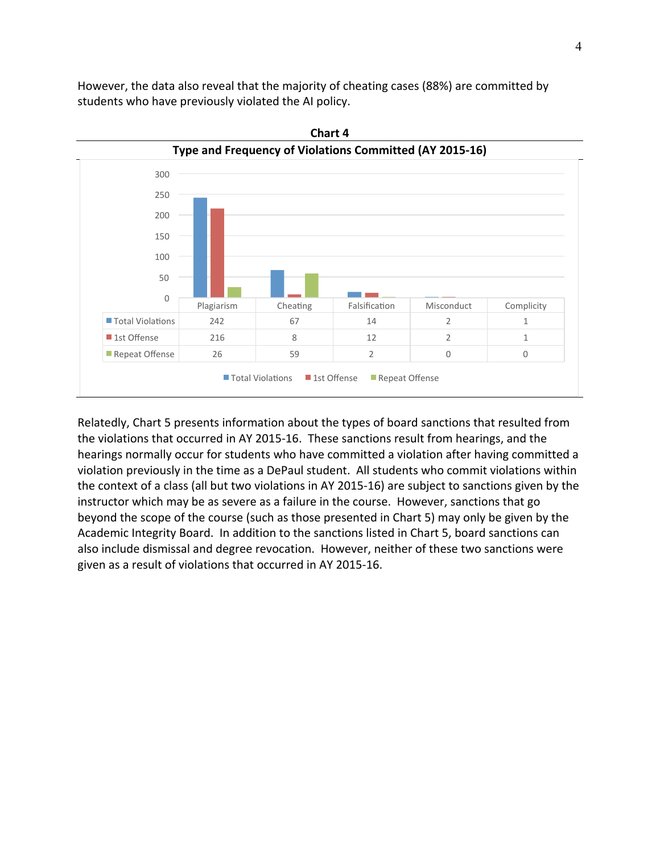However, the data also reveal that the majority of cheating cases (88%) are committed by students who have previously violated the AI policy.



**Chart 4**

Relatedly, Chart 5 presents information about the types of board sanctions that resulted from the violations that occurred in AY 2015-16. These sanctions result from hearings, and the hearings normally occur for students who have committed a violation after having committed a violation previously in the time as a DePaul student. All students who commit violations within the context of a class (all but two violations in AY 2015-16) are subject to sanctions given by the instructor which may be as severe as a failure in the course. However, sanctions that go beyond the scope of the course (such as those presented in Chart 5) may only be given by the Academic Integrity Board. In addition to the sanctions listed in Chart 5, board sanctions can also include dismissal and degree revocation. However, neither of these two sanctions were given as a result of violations that occurred in AY 2015-16.